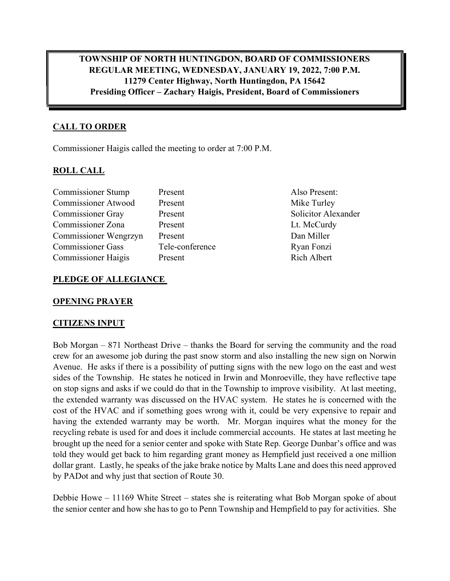TOWNSHIP OF NORTH HUNTINGDON, BOARD OF COMMISSIONERS REGULAR MEETING, WEDNESDAY, JANUARY 19, 2022, 7:00 P.M. 11279 Center Highway, North Huntingdon, PA 15642 Presiding Officer – Zachary Haigis, President, Board of Commissioners

# CALL TO ORDER

Commissioner Haigis called the meeting to order at 7:00 P.M.

## ROLL CALL

| Present         | Also Present:       |
|-----------------|---------------------|
| Present         | Mike Turley         |
| Present         | Solicitor Alexander |
| Present         | Lt. McCurdy         |
| Present         | Dan Miller          |
| Tele-conference | Ryan Fonzi          |
| Present         | <b>Rich Albert</b>  |
|                 |                     |

## PLEDGE OF ALLEGIANCE

#### OPENING PRAYER

#### CITIZENS INPUT

Bob Morgan – 871 Northeast Drive – thanks the Board for serving the community and the road crew for an awesome job during the past snow storm and also installing the new sign on Norwin Avenue. He asks if there is a possibility of putting signs with the new logo on the east and west sides of the Township. He states he noticed in Irwin and Monroeville, they have reflective tape on stop signs and asks if we could do that in the Township to improve visibility. At last meeting, the extended warranty was discussed on the HVAC system. He states he is concerned with the cost of the HVAC and if something goes wrong with it, could be very expensive to repair and having the extended warranty may be worth. Mr. Morgan inquires what the money for the recycling rebate is used for and does it include commercial accounts. He states at last meeting he brought up the need for a senior center and spoke with State Rep. George Dunbar's office and was told they would get back to him regarding grant money as Hempfield just received a one million dollar grant. Lastly, he speaks of the jake brake notice by Malts Lane and does this need approved by PADot and why just that section of Route 30.

Debbie Howe – 11169 White Street – states she is reiterating what Bob Morgan spoke of about the senior center and how she has to go to Penn Township and Hempfield to pay for activities. She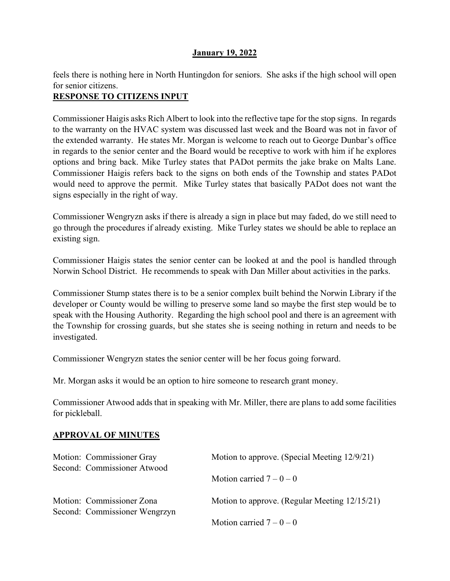feels there is nothing here in North Huntingdon for seniors. She asks if the high school will open for senior citizens.

# RESPONSE TO CITIZENS INPUT

Commissioner Haigis asks Rich Albert to look into the reflective tape for the stop signs. In regards to the warranty on the HVAC system was discussed last week and the Board was not in favor of the extended warranty. He states Mr. Morgan is welcome to reach out to George Dunbar's office in regards to the senior center and the Board would be receptive to work with him if he explores options and bring back. Mike Turley states that PADot permits the jake brake on Malts Lane. Commissioner Haigis refers back to the signs on both ends of the Township and states PADot would need to approve the permit. Mike Turley states that basically PADot does not want the signs especially in the right of way.

Commissioner Wengryzn asks if there is already a sign in place but may faded, do we still need to go through the procedures if already existing. Mike Turley states we should be able to replace an existing sign.

Commissioner Haigis states the senior center can be looked at and the pool is handled through Norwin School District. He recommends to speak with Dan Miller about activities in the parks.

Commissioner Stump states there is to be a senior complex built behind the Norwin Library if the developer or County would be willing to preserve some land so maybe the first step would be to speak with the Housing Authority. Regarding the high school pool and there is an agreement with the Township for crossing guards, but she states she is seeing nothing in return and needs to be investigated.

Commissioner Wengryzn states the senior center will be her focus going forward.

Mr. Morgan asks it would be an option to hire someone to research grant money.

Commissioner Atwood adds that in speaking with Mr. Miller, there are plans to add some facilities for pickleball.

## APPROVAL OF MINUTES

| Motion: Commissioner Gray<br>Second: Commissioner Atwood   | Motion to approve. (Special Meeting 12/9/21)  |
|------------------------------------------------------------|-----------------------------------------------|
|                                                            | Motion carried $7-0-0$                        |
| Motion: Commissioner Zona<br>Second: Commissioner Wengrzyn | Motion to approve. (Regular Meeting 12/15/21) |
|                                                            | Motion carried $7-0-0$                        |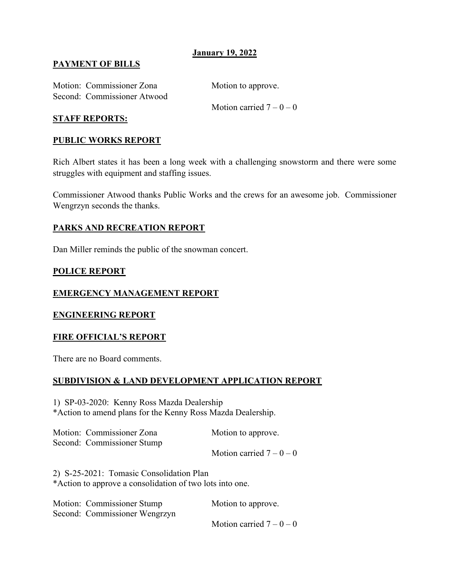### PAYMENT OF BILLS

Motion: Commissioner Zona Motion to approve. Second: Commissioner Atwood

Motion carried  $7 - 0 - 0$ 

#### STAFF REPORTS:

#### PUBLIC WORKS REPORT

Rich Albert states it has been a long week with a challenging snowstorm and there were some struggles with equipment and staffing issues.

Commissioner Atwood thanks Public Works and the crews for an awesome job. Commissioner Wengrzyn seconds the thanks.

#### PARKS AND RECREATION REPORT

Dan Miller reminds the public of the snowman concert.

#### POLICE REPORT

#### EMERGENCY MANAGEMENT REPORT

#### ENGINEERING REPORT

#### FIRE OFFICIAL'S REPORT

There are no Board comments.

#### SUBDIVISION & LAND DEVELOPMENT APPLICATION REPORT

1) SP-03-2020: Kenny Ross Mazda Dealership \*Action to amend plans for the Kenny Ross Mazda Dealership.

Motion: Commissioner Zona Motion to approve. Second: Commissioner Stump Motion carried  $7 - 0 - 0$ 

2) S-25-2021: Tomasic Consolidation Plan \*Action to approve a consolidation of two lots into one.

| Motion: Commissioner Stump    | Motion to approve.     |
|-------------------------------|------------------------|
| Second: Commissioner Wengrzyn |                        |
|                               | Motion carried $7-0-0$ |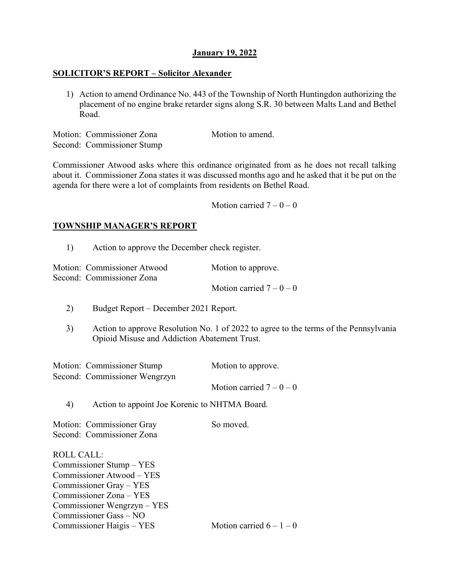#### SOLICITOR'S REPORT – Solicitor Alexander

1) Action to amend Ordinance No. 443 of the Township of North Huntingdon authorizing the placement of no engine brake retarder signs along S.R. 30 between Malts Land and Bethel Road.

Motion: Commissioner Zona Motion to amend. Second: Commissioner Stump

Commissioner Atwood asks where this ordinance originated from as he does not recall talking about it. Commissioner Zona states it was discussed months ago and he asked that it be put on the agenda for there were a lot of complaints from residents on Bethel Road.

Motion carried  $7 - 0 - 0$ 

## TOWNSHIP MANAGER'S REPORT

1) Action to approve the December check register.

| Motion: Commissioner Atwood | Motion to approve.     |
|-----------------------------|------------------------|
| Second: Commissioner Zona   |                        |
|                             | Motion carried $7-0-0$ |

- 2) Budget Report December 2021 Report.
- 3) Action to approve Resolution No. 1 of 2022 to agree to the terms of the Pennsylvania Opioid Misuse and Addiction Abatement Trust.

| Motion: Commissioner Stump    | Motion to approve.     |
|-------------------------------|------------------------|
| Second: Commissioner Wengrzyn |                        |
|                               | Motion carried $7-0-0$ |

4) Action to appoint Joe Korenic to NHTMA Board.

Motion: Commissioner Gray So moved. Second: Commissioner Zona

ROLL CALL: Commissioner Stump – YES Commissioner Atwood – YES Commissioner Gray – YES Commissioner Zona – YES Commissioner Wengrzyn – YES Commissioner Gass – NO Commissioner Haigis – YES Motion carried  $6 - 1 - 0$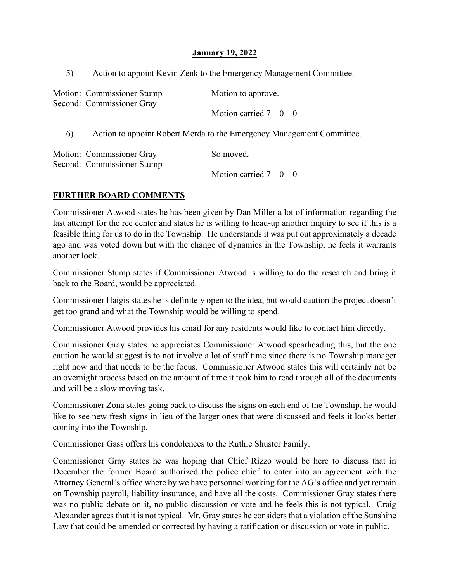5) Action to appoint Kevin Zenk to the Emergency Management Committee.

|    | Motion: Commissioner Stump<br>Second: Commissioner Gray               | Motion to approve.     |
|----|-----------------------------------------------------------------------|------------------------|
|    |                                                                       | Motion carried $7-0-0$ |
| 6) | Action to appoint Robert Merda to the Emergency Management Committee. |                        |
|    | Motion: Commissioner Gray<br>Second: Commissioner Stump               | So moved.              |
|    |                                                                       | Motion carried $7-0-0$ |

## FURTHER BOARD COMMENTS

Commissioner Atwood states he has been given by Dan Miller a lot of information regarding the last attempt for the rec center and states he is willing to head-up another inquiry to see if this is a feasible thing for us to do in the Township. He understands it was put out approximately a decade ago and was voted down but with the change of dynamics in the Township, he feels it warrants another look.

Commissioner Stump states if Commissioner Atwood is willing to do the research and bring it back to the Board, would be appreciated.

Commissioner Haigis states he is definitely open to the idea, but would caution the project doesn't get too grand and what the Township would be willing to spend.

Commissioner Atwood provides his email for any residents would like to contact him directly.

Commissioner Gray states he appreciates Commissioner Atwood spearheading this, but the one caution he would suggest is to not involve a lot of staff time since there is no Township manager right now and that needs to be the focus. Commissioner Atwood states this will certainly not be an overnight process based on the amount of time it took him to read through all of the documents and will be a slow moving task.

Commissioner Zona states going back to discuss the signs on each end of the Township, he would like to see new fresh signs in lieu of the larger ones that were discussed and feels it looks better coming into the Township.

Commissioner Gass offers his condolences to the Ruthie Shuster Family.

Commissioner Gray states he was hoping that Chief Rizzo would be here to discuss that in December the former Board authorized the police chief to enter into an agreement with the Attorney General's office where by we have personnel working for the AG's office and yet remain on Township payroll, liability insurance, and have all the costs. Commissioner Gray states there was no public debate on it, no public discussion or vote and he feels this is not typical. Craig Alexander agrees that it is not typical. Mr. Gray states he considers that a violation of the Sunshine Law that could be amended or corrected by having a ratification or discussion or vote in public.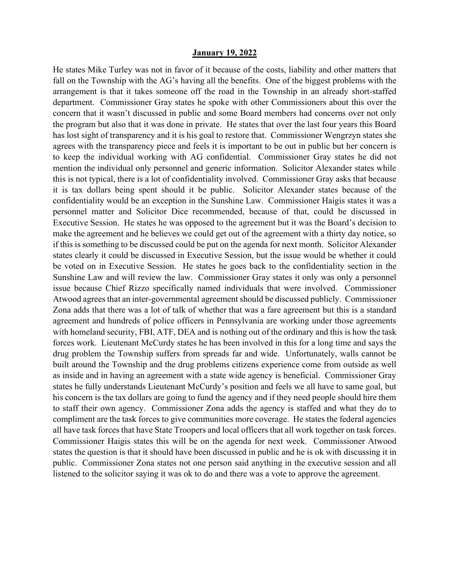He states Mike Turley was not in favor of it because of the costs, liability and other matters that fall on the Township with the AG's having all the benefits. One of the biggest problems with the arrangement is that it takes someone off the road in the Township in an already short-staffed department. Commissioner Gray states he spoke with other Commissioners about this over the concern that it wasn't discussed in public and some Board members had concerns over not only the program but also that it was done in private. He states that over the last four years this Board has lost sight of transparency and it is his goal to restore that. Commissioner Wengrzyn states she agrees with the transparency piece and feels it is important to be out in public but her concern is to keep the individual working with AG confidential. Commissioner Gray states he did not mention the individual only personnel and generic information. Solicitor Alexander states while this is not typical, there is a lot of confidentiality involved. Commissioner Gray asks that because it is tax dollars being spent should it be public. Solicitor Alexander states because of the confidentiality would be an exception in the Sunshine Law. Commissioner Haigis states it was a personnel matter and Solicitor Dice recommended, because of that, could be discussed in Executive Session. He states he was opposed to the agreement but it was the Board's decision to make the agreement and he believes we could get out of the agreement with a thirty day notice, so if this is something to be discussed could be put on the agenda for next month. Solicitor Alexander states clearly it could be discussed in Executive Session, but the issue would be whether it could be voted on in Executive Session. He states he goes back to the confidentiality section in the Sunshine Law and will review the law. Commissioner Gray states it only was only a personnel issue because Chief Rizzo specifically named individuals that were involved. Commissioner Atwood agrees that an inter-governmental agreement should be discussed publicly. Commissioner Zona adds that there was a lot of talk of whether that was a fare agreement but this is a standard agreement and hundreds of police officers in Pennsylvania are working under those agreements with homeland security, FBI, ATF, DEA and is nothing out of the ordinary and this is how the task forces work. Lieutenant McCurdy states he has been involved in this for a long time and says the drug problem the Township suffers from spreads far and wide. Unfortunately, walls cannot be built around the Township and the drug problems citizens experience come from outside as well as inside and in having an agreement with a state wide agency is beneficial. Commissioner Gray states he fully understands Lieutenant McCurdy's position and feels we all have to same goal, but his concern is the tax dollars are going to fund the agency and if they need people should hire them to staff their own agency. Commissioner Zona adds the agency is staffed and what they do to compliment are the task forces to give communities more coverage. He states the federal agencies all have task forces that have State Troopers and local officers that all work together on task forces. Commissioner Haigis states this will be on the agenda for next week. Commissioner Atwood states the question is that it should have been discussed in public and he is ok with discussing it in public. Commissioner Zona states not one person said anything in the executive session and all listened to the solicitor saying it was ok to do and there was a vote to approve the agreement.